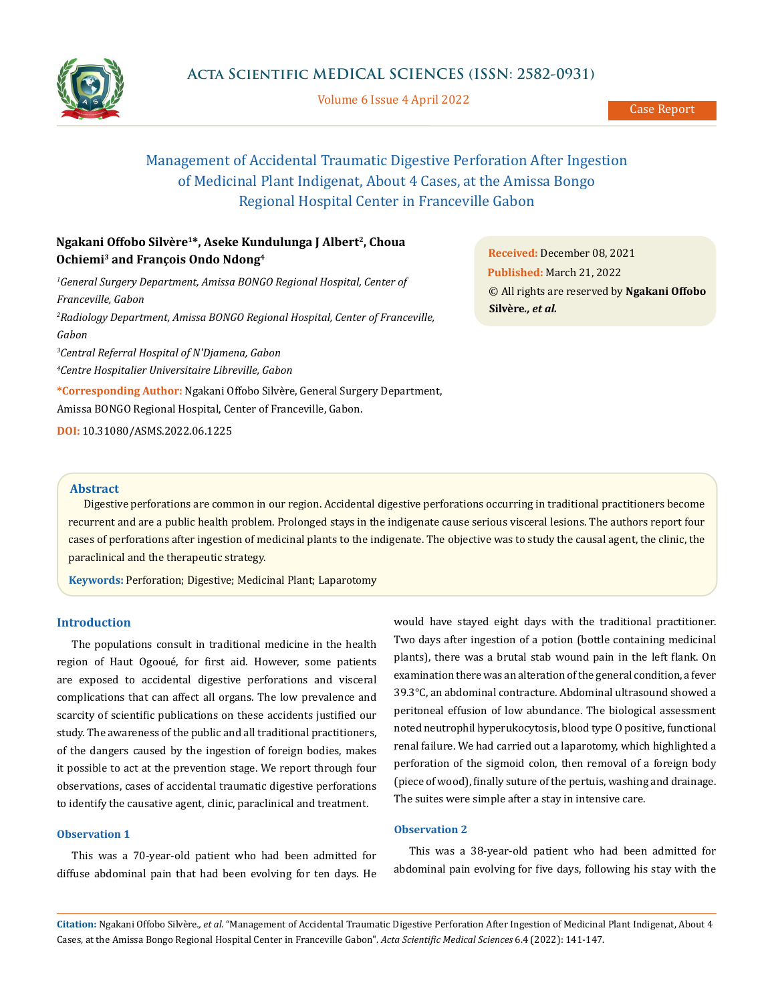

Volume 6 Issue 4 April 2022

# Management of Accidental Traumatic Digestive Perforation After Ingestion of Medicinal Plant Indigenat, About 4 Cases, at the Amissa Bongo Regional Hospital Center in Franceville Gabon

## **Ngakani Offobo Silvère1\*, Aseke Kundulunga J Albert2, Choua Ochiemi3 and François Ondo Ndong4**

<sup>1</sup> General Surgery Department, Amissa BONGO Regional Hospital, Center of *Franceville, Gabon 2 Radiology Department, Amissa BONGO Regional Hospital, Center of Franceville, Gabon 3 Central Referral Hospital of N'Djamena, Gabon 4 Centre Hospitalier Universitaire Libreville, Gabon* **\*Corresponding Author:** Ngakani Offobo Silvère, General Surgery Department,

Amissa BONGO Regional Hospital, Center of Franceville, Gabon.

**DOI:** [10.31080/ASMS.2022.06.1225](http:// actascientific.com/ASMS/pdf/ASMS-06-1225.pdf)

**Received:** December 08, 2021 **Published:** March 21, 2022 © All rights are reserved by **Ngakani Offobo Silvère***., et al.*

#### **Abstract**

Digestive perforations are common in our region. Accidental digestive perforations occurring in traditional practitioners become recurrent and are a public health problem. Prolonged stays in the indigenate cause serious visceral lesions. The authors report four cases of perforations after ingestion of medicinal plants to the indigenate. The objective was to study the causal agent, the clinic, the paraclinical and the therapeutic strategy.

**Keywords:** Perforation; Digestive; Medicinal Plant; Laparotomy

#### **Introduction**

The populations consult in traditional medicine in the health region of Haut Ogooué, for first aid. However, some patients are exposed to accidental digestive perforations and visceral complications that can affect all organs. The low prevalence and scarcity of scientific publications on these accidents justified our study. The awareness of the public and all traditional practitioners, of the dangers caused by the ingestion of foreign bodies, makes it possible to act at the prevention stage. We report through four observations, cases of accidental traumatic digestive perforations to identify the causative agent, clinic, paraclinical and treatment.

## **Observation 1**

This was a 70-year-old patient who had been admitted for diffuse abdominal pain that had been evolving for ten days. He

would have stayed eight days with the traditional practitioner. Two days after ingestion of a potion (bottle containing medicinal plants), there was a brutal stab wound pain in the left flank. On examination there was an alteration of the general condition, a fever 39.3°C, an abdominal contracture. Abdominal ultrasound showed a peritoneal effusion of low abundance. The biological assessment noted neutrophil hyperukocytosis, blood type O positive, functional renal failure. We had carried out a laparotomy, which highlighted a perforation of the sigmoid colon, then removal of a foreign body (piece of wood), finally suture of the pertuis, washing and drainage. The suites were simple after a stay in intensive care.

## **Observation 2**

This was a 38-year-old patient who had been admitted for abdominal pain evolving for five days, following his stay with the

**Citation:** Ngakani Offobo Silvère*., et al.* "Management of Accidental Traumatic Digestive Perforation After Ingestion of Medicinal Plant Indigenat, About 4 Cases, at the Amissa Bongo Regional Hospital Center in Franceville Gabon". *Acta Scientific Medical Sciences* 6.4 (2022): 141-147.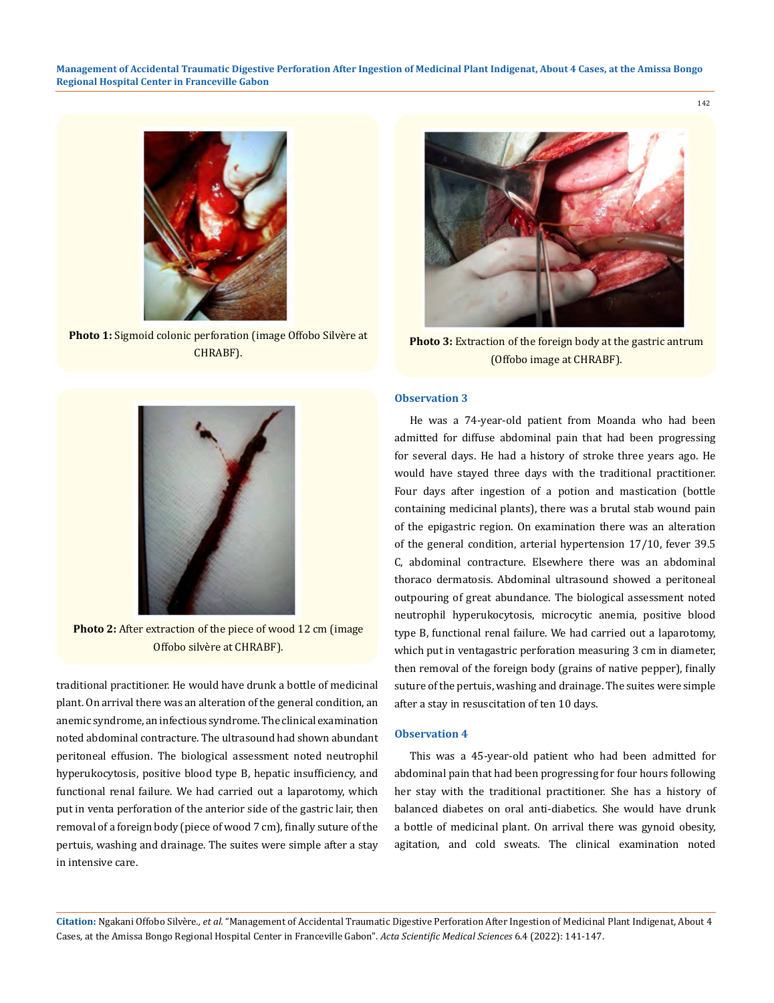

**Photo 1:** Sigmoid colonic perforation (image Offobo Silvère at CHRABF).



**Photo 3:** Extraction of the foreign body at the gastric antrum (Offobo image at CHRABF).



**Photo 2:** After extraction of the piece of wood 12 cm (image Offobo silvère at CHRABF).

traditional practitioner. He would have drunk a bottle of medicinal plant. On arrival there was an alteration of the general condition, an anemic syndrome, an infectious syndrome. The clinical examination noted abdominal contracture. The ultrasound had shown abundant peritoneal effusion. The biological assessment noted neutrophil hyperukocytosis, positive blood type B, hepatic insufficiency, and functional renal failure. We had carried out a laparotomy, which put in venta perforation of the anterior side of the gastric lair, then removal of a foreign body (piece of wood 7 cm), finally suture of the pertuis, washing and drainage. The suites were simple after a stay in intensive care.

## **Observation 3**

He was a 74-year-old patient from Moanda who had been admitted for diffuse abdominal pain that had been progressing for several days. He had a history of stroke three years ago. He would have stayed three days with the traditional practitioner. Four days after ingestion of a potion and mastication (bottle containing medicinal plants), there was a brutal stab wound pain of the epigastric region. On examination there was an alteration of the general condition, arterial hypertension 17/10, fever 39.5 C, abdominal contracture. Elsewhere there was an abdominal thoraco dermatosis. Abdominal ultrasound showed a peritoneal outpouring of great abundance. The biological assessment noted neutrophil hyperukocytosis, microcytic anemia, positive blood type B, functional renal failure. We had carried out a laparotomy, which put in ventagastric perforation measuring 3 cm in diameter, then removal of the foreign body (grains of native pepper), finally suture of the pertuis, washing and drainage. The suites were simple after a stay in resuscitation of ten 10 days.

## **Observation 4**

This was a 45-year-old patient who had been admitted for abdominal pain that had been progressing for four hours following her stay with the traditional practitioner. She has a history of balanced diabetes on oral anti-diabetics. She would have drunk a bottle of medicinal plant. On arrival there was gynoid obesity, agitation, and cold sweats. The clinical examination noted

**Citation:** Ngakani Offobo Silvère*., et al.* "Management of Accidental Traumatic Digestive Perforation After Ingestion of Medicinal Plant Indigenat, About 4 Cases, at the Amissa Bongo Regional Hospital Center in Franceville Gabon". *Acta Scientific Medical Sciences* 6.4 (2022): 141-147.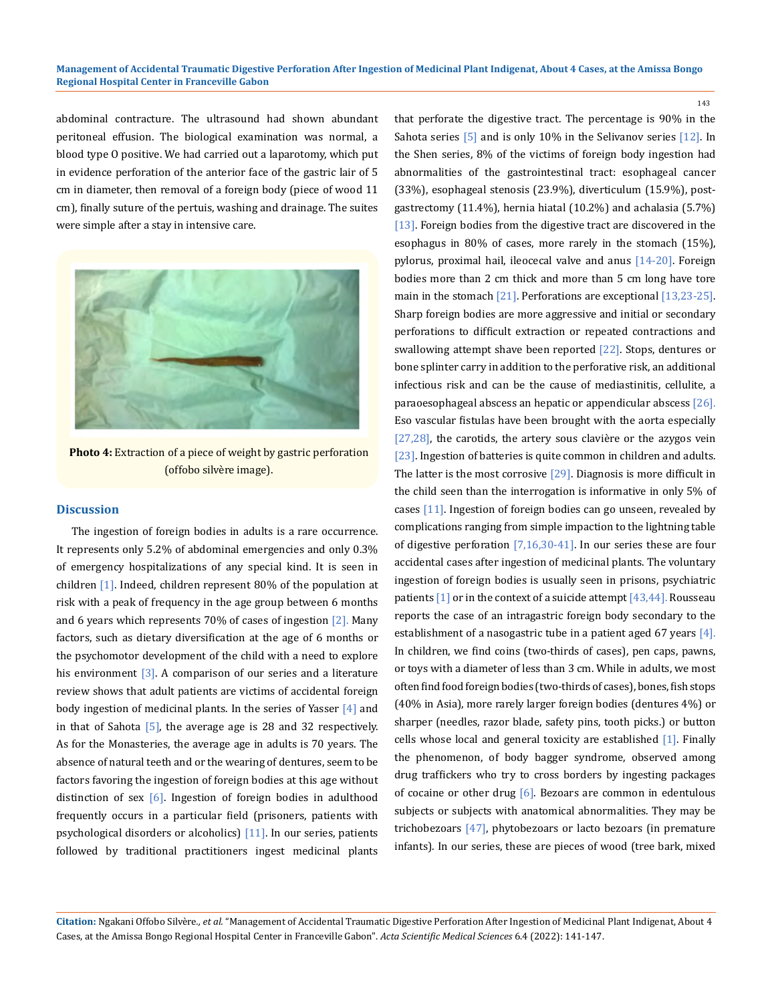143

abdominal contracture. The ultrasound had shown abundant peritoneal effusion. The biological examination was normal, a blood type O positive. We had carried out a laparotomy, which put in evidence perforation of the anterior face of the gastric lair of 5 cm in diameter, then removal of a foreign body (piece of wood 11 cm), finally suture of the pertuis, washing and drainage. The suites were simple after a stay in intensive care.



**Photo 4:** Extraction of a piece of weight by gastric perforation (offobo silvère image).

## **Discussion**

The ingestion of foreign bodies in adults is a rare occurrence. It represents only 5.2% of abdominal emergencies and only 0.3% of emergency hospitalizations of any special kind. It is seen in children [1]. Indeed, children represent 80% of the population at risk with a peak of frequency in the age group between 6 months and 6 years which represents  $70\%$  of cases of ingestion  $[2]$ . Many factors, such as dietary diversification at the age of 6 months or the psychomotor development of the child with a need to explore his environment  $\boxed{3}$ . A comparison of our series and a literature review shows that adult patients are victims of accidental foreign body ingestion of medicinal plants. In the series of Yasser [4] and in that of Sahota  $[5]$ , the average age is 28 and 32 respectively. As for the Monasteries, the average age in adults is 70 years. The absence of natural teeth and or the wearing of dentures, seem to be factors favoring the ingestion of foreign bodies at this age without distinction of sex  $[6]$ . Ingestion of foreign bodies in adulthood frequently occurs in a particular field (prisoners, patients with psychological disorders or alcoholics) [11]. In our series, patients followed by traditional practitioners ingest medicinal plants that perforate the digestive tract. The percentage is 90% in the Sahota series [5] and is only 10% in the Selivanov series [12]. In the Shen series, 8% of the victims of foreign body ingestion had abnormalities of the gastrointestinal tract: esophageal cancer (33%), esophageal stenosis (23.9%), diverticulum (15.9%), postgastrectomy (11.4%), hernia hiatal (10.2%) and achalasia (5.7%) [13]. Foreign bodies from the digestive tract are discovered in the esophagus in 80% of cases, more rarely in the stomach (15%), pylorus, proximal hail, ileocecal valve and anus [14-20]. Foreign bodies more than 2 cm thick and more than 5 cm long have tore main in the stomach [21]. Perforations are exceptional [13,23-25]. Sharp foreign bodies are more aggressive and initial or secondary perforations to difficult extraction or repeated contractions and swallowing attempt shave been reported [22]. Stops, dentures or bone splinter carry in addition to the perforative risk, an additional infectious risk and can be the cause of mediastinitis, cellulite, a paraoesophageal abscess an hepatic or appendicular abscess [26]. Eso vascular fistulas have been brought with the aorta especially [27,28], the carotids, the artery sous clavière or the azygos vein [23]. Ingestion of batteries is quite common in children and adults. The latter is the most corrosive  $[29]$ . Diagnosis is more difficult in the child seen than the interrogation is informative in only 5% of cases [11]. Ingestion of foreign bodies can go unseen, revealed by complications ranging from simple impaction to the lightning table of digestive perforation [7,16,30-41]. In our series these are four accidental cases after ingestion of medicinal plants. The voluntary ingestion of foreign bodies is usually seen in prisons, psychiatric patients  $\boxed{1}$  or in the context of a suicide attempt  $\boxed{43,44}$ . Rousseau reports the case of an intragastric foreign body secondary to the establishment of a nasogastric tube in a patient aged 67 years [4]. In children, we find coins (two-thirds of cases), pen caps, pawns, or toys with a diameter of less than 3 cm. While in adults, we most often find food foreign bodies (two-thirds of cases), bones, fish stops (40% in Asia), more rarely larger foreign bodies (dentures 4%) or sharper (needles, razor blade, safety pins, tooth picks.) or button cells whose local and general toxicity are established [1]. Finally the phenomenon, of body bagger syndrome, observed among drug traffickers who try to cross borders by ingesting packages of cocaine or other drug  $[6]$ . Bezoars are common in edentulous subjects or subjects with anatomical abnormalities. They may be trichobezoars [47], phytobezoars or lacto bezoars (in premature infants). In our series, these are pieces of wood (tree bark, mixed

**Citation:** Ngakani Offobo Silvère*., et al.* "Management of Accidental Traumatic Digestive Perforation After Ingestion of Medicinal Plant Indigenat, About 4 Cases, at the Amissa Bongo Regional Hospital Center in Franceville Gabon". *Acta Scientific Medical Sciences* 6.4 (2022): 141-147.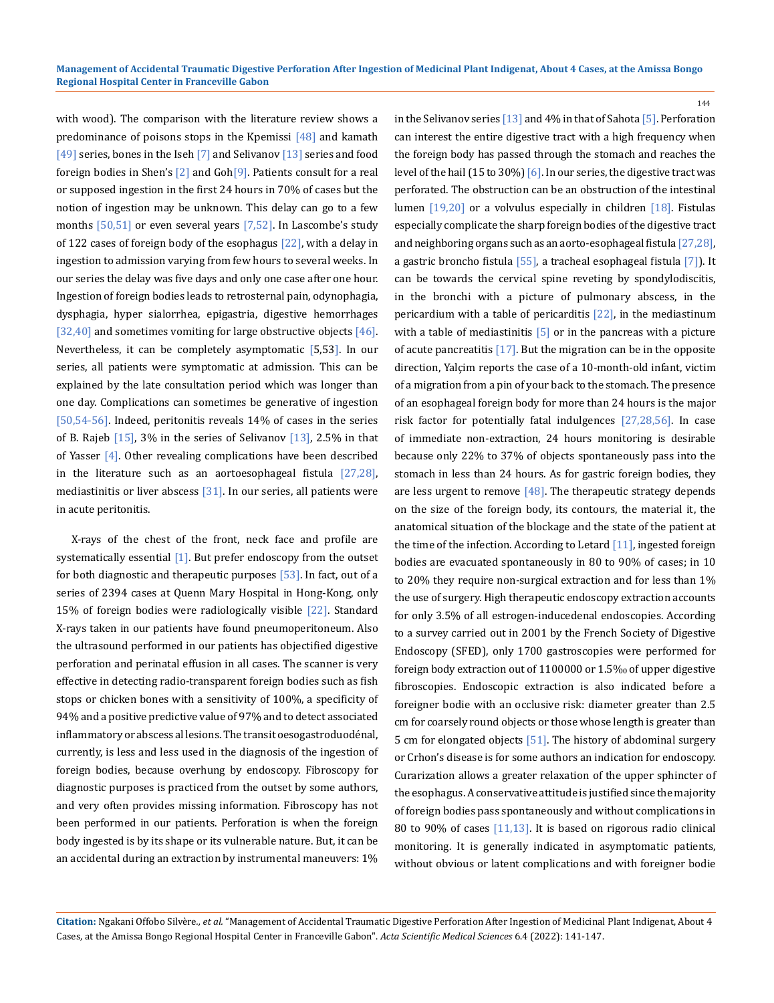with wood). The comparison with the literature review shows a predominance of poisons stops in the Kpemissi  $[48]$  and kamath [49] series, bones in the Iseh [7] and Selivanov [13] series and food foreign bodies in Shen's  $[2]$  and  $Goh[9]$ . Patients consult for a real or supposed ingestion in the first 24 hours in 70% of cases but the notion of ingestion may be unknown. This delay can go to a few months  $[50,51]$  or even several years  $[7,52]$ . In Lascombe's study of 122 cases of foreign body of the esophagus [22], with a delay in ingestion to admission varying from few hours to several weeks. In our series the delay was five days and only one case after one hour. Ingestion of foreign bodies leads to retrosternal pain, odynophagia, dysphagia, hyper sialorrhea, epigastria, digestive hemorrhages [32,40] and sometimes vomiting for large obstructive objects [46]. Nevertheless, it can be completely asymptomatic [5,53]. In our series, all patients were symptomatic at admission. This can be explained by the late consultation period which was longer than one day. Complications can sometimes be generative of ingestion [50,54-56]. Indeed, peritonitis reveals 14% of cases in the series of B. Rajeb  $[15]$ , 3% in the series of Selivanov  $[13]$ , 2.5% in that of Yasser [4]. Other revealing complications have been described in the literature such as an aortoesophageal fistula [27,28], mediastinitis or liver abscess  $[31]$ . In our series, all patients were in acute peritonitis.

X-rays of the chest of the front, neck face and profile are systematically essential [1]. But prefer endoscopy from the outset for both diagnostic and therapeutic purposes [53]. In fact, out of a series of 2394 cases at Quenn Mary Hospital in Hong-Kong, only 15% of foreign bodies were radiologically visible [22]. Standard X-rays taken in our patients have found pneumoperitoneum. Also the ultrasound performed in our patients has objectified digestive perforation and perinatal effusion in all cases. The scanner is very effective in detecting radio-transparent foreign bodies such as fish stops or chicken bones with a sensitivity of 100%, a specificity of 94% and a positive predictive value of 97% and to detect associated inflammatory or abscess al lesions. The transit oesogastroduodénal, currently, is less and less used in the diagnosis of the ingestion of foreign bodies, because overhung by endoscopy. Fibroscopy for diagnostic purposes is practiced from the outset by some authors, and very often provides missing information. Fibroscopy has not been performed in our patients. Perforation is when the foreign body ingested is by its shape or its vulnerable nature. But, it can be an accidental during an extraction by instrumental maneuvers: 1%

in the Selivanov series [13] and 4% in that of Sahota [5]. Perforation can interest the entire digestive tract with a high frequency when the foreign body has passed through the stomach and reaches the level of the hail (15 to 30%)  $[6]$ . In our series, the digestive tract was perforated. The obstruction can be an obstruction of the intestinal lumen [19,20] or a volvulus especially in children [18]. Fistulas especially complicate the sharp foreign bodies of the digestive tract and neighboring organs such as an aorto-esophageal fistula [27,28], a gastric broncho fistula [55], a tracheal esophageal fistula [7]). It can be towards the cervical spine reveting by spondylodiscitis, in the bronchi with a picture of pulmonary abscess, in the pericardium with a table of pericarditis [22], in the mediastinum with a table of mediastinitis  $\overline{5}$  or in the pancreas with a picture of acute pancreatitis [17]. But the migration can be in the opposite direction, Yalçim reports the case of a 10-month-old infant, victim of a migration from a pin of your back to the stomach. The presence of an esophageal foreign body for more than 24 hours is the major risk factor for potentially fatal indulgences [27,28,56]. In case of immediate non-extraction, 24 hours monitoring is desirable because only 22% to 37% of objects spontaneously pass into the stomach in less than 24 hours. As for gastric foreign bodies, they are less urgent to remove  $[48]$ . The therapeutic strategy depends on the size of the foreign body, its contours, the material it, the anatomical situation of the blockage and the state of the patient at the time of the infection. According to Letard  $[11]$ , ingested foreign bodies are evacuated spontaneously in 80 to 90% of cases; in 10 to 20% they require non-surgical extraction and for less than 1% the use of surgery. High therapeutic endoscopy extraction accounts for only 3.5% of all estrogen-inducedenal endoscopies. According to a survey carried out in 2001 by the French Society of Digestive Endoscopy (SFED), only 1700 gastroscopies were performed for foreign body extraction out of 1100000 or 1.5‰ of upper digestive fibroscopies. Endoscopic extraction is also indicated before a foreigner bodie with an occlusive risk: diameter greater than 2.5 cm for coarsely round objects or those whose length is greater than 5 cm for elongated objects [51]. The history of abdominal surgery or Crhon's disease is for some authors an indication for endoscopy. Curarization allows a greater relaxation of the upper sphincter of the esophagus. A conservative attitude is justified since the majority of foreign bodies pass spontaneously and without complications in 80 to 90% of cases [11,13]. It is based on rigorous radio clinical monitoring. It is generally indicated in asymptomatic patients, without obvious or latent complications and with foreigner bodie

144

**Citation:** Ngakani Offobo Silvère*., et al.* "Management of Accidental Traumatic Digestive Perforation After Ingestion of Medicinal Plant Indigenat, About 4 Cases, at the Amissa Bongo Regional Hospital Center in Franceville Gabon". *Acta Scientific Medical Sciences* 6.4 (2022): 141-147.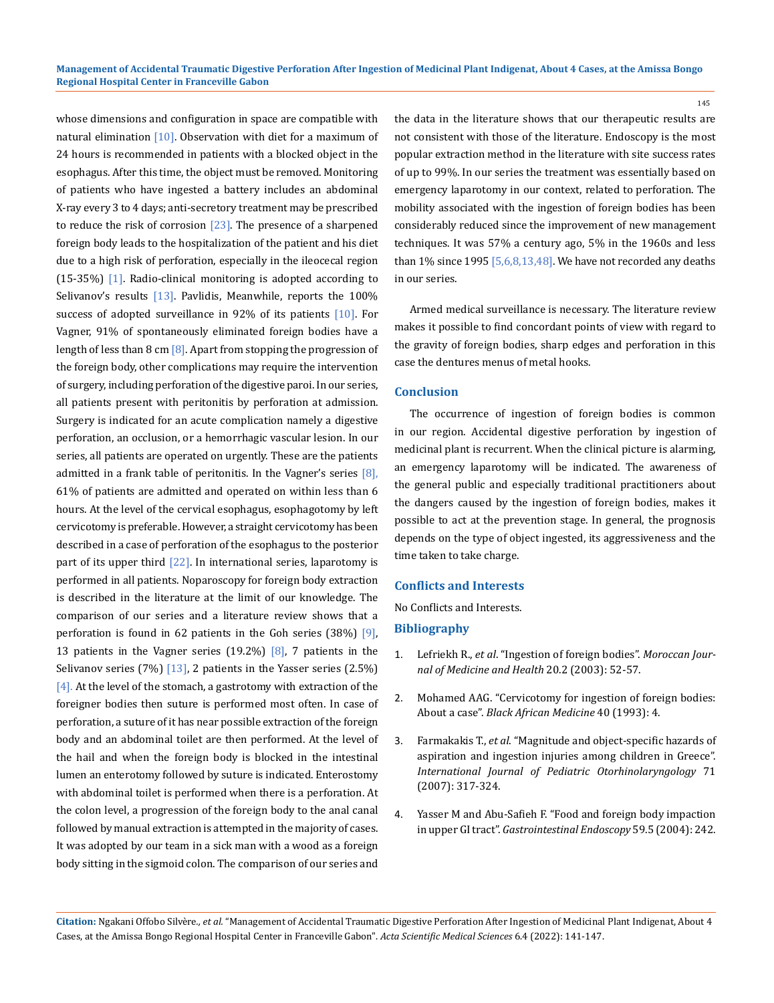whose dimensions and configuration in space are compatible with natural elimination  $[10]$ . Observation with diet for a maximum of 24 hours is recommended in patients with a blocked object in the esophagus. After this time, the object must be removed. Monitoring of patients who have ingested a battery includes an abdominal X-ray every 3 to 4 days; anti-secretory treatment may be prescribed to reduce the risk of corrosion  $[23]$ . The presence of a sharpened foreign body leads to the hospitalization of the patient and his diet due to a high risk of perforation, especially in the ileocecal region (15-35%) [1]. Radio-clinical monitoring is adopted according to Selivanov's results  $[13]$ . Pavlidis, Meanwhile, reports the 100% success of adopted surveillance in 92% of its patients [10]. For Vagner, 91% of spontaneously eliminated foreign bodies have a length of less than  $8 \text{ cm}$   $[8]$ . Apart from stopping the progression of the foreign body, other complications may require the intervention of surgery, including perforation of the digestive paroi. In our series, all patients present with peritonitis by perforation at admission. Surgery is indicated for an acute complication namely a digestive perforation, an occlusion, or a hemorrhagic vascular lesion. In our series, all patients are operated on urgently. These are the patients admitted in a frank table of peritonitis. In the Vagner's series  $[8]$ , 61% of patients are admitted and operated on within less than 6 hours. At the level of the cervical esophagus, esophagotomy by left cervicotomy is preferable. However, a straight cervicotomy has been described in a case of perforation of the esophagus to the posterior part of its upper third  $[22]$ . In international series, laparotomy is performed in all patients. Noparoscopy for foreign body extraction is described in the literature at the limit of our knowledge. The comparison of our series and a literature review shows that a perforation is found in 62 patients in the Goh series  $(38%)$  [9], 13 patients in the Vagner series  $(19.2\%)$   $[8]$ , 7 patients in the Selivanov series  $(7%)$   $[13]$ , 2 patients in the Yasser series  $(2.5%)$  $[4]$ . At the level of the stomach, a gastrotomy with extraction of the foreigner bodies then suture is performed most often. In case of perforation, a suture of it has near possible extraction of the foreign body and an abdominal toilet are then performed. At the level of the hail and when the foreign body is blocked in the intestinal lumen an enterotomy followed by suture is indicated. Enterostomy with abdominal toilet is performed when there is a perforation. At the colon level, a progression of the foreign body to the anal canal followed by manual extraction is attempted in the majority of cases. It was adopted by our team in a sick man with a wood as a foreign body sitting in the sigmoid colon. The comparison of our series and the data in the literature shows that our therapeutic results are not consistent with those of the literature. Endoscopy is the most popular extraction method in the literature with site success rates of up to 99%. In our series the treatment was essentially based on emergency laparotomy in our context, related to perforation. The mobility associated with the ingestion of foreign bodies has been considerably reduced since the improvement of new management techniques. It was 57% a century ago, 5% in the 1960s and less than  $1\%$  since  $1995$  [5,6,8,13,48]. We have not recorded any deaths in our series.

Armed medical surveillance is necessary. The literature review makes it possible to find concordant points of view with regard to the gravity of foreign bodies, sharp edges and perforation in this case the dentures menus of metal hooks.

#### **Conclusion**

The occurrence of ingestion of foreign bodies is common in our region. Accidental digestive perforation by ingestion of medicinal plant is recurrent. When the clinical picture is alarming, an emergency laparotomy will be indicated. The awareness of the general public and especially traditional practitioners about the dangers caused by the ingestion of foreign bodies, makes it possible to act at the prevention stage. In general, the prognosis depends on the type of object ingested, its aggressiveness and the time taken to take charge.

#### **Conflicts and Interests**

No Conflicts and Interests.

#### **Bibliography**

- 1. Lefriekh R., *et al*. "Ingestion of foreign bodies". *Moroccan Journal of Medicine and Health* 20.2 (2003): 52-57.
- 2. [Mohamed AAG. "Cervicotomy for ingestion of foreign bodies:](https://www.ncbi.nlm.nih.gov/pmc/articles/PMC5900799/)  About a case". *[Black African Medicine](https://www.ncbi.nlm.nih.gov/pmc/articles/PMC5900799/)* 40 (1993): 4.
- 3. Farmakakis T., *et al*[. "Magnitude and object-specific hazards of](https://pubmed.ncbi.nlm.nih.gov/17129614/)  [aspiration and ingestion injuries among children in Greece".](https://pubmed.ncbi.nlm.nih.gov/17129614/)  *[International Journal of Pediatric Otorhinolaryngology](https://pubmed.ncbi.nlm.nih.gov/17129614/)* 71 [\(2007\): 317-324.](https://pubmed.ncbi.nlm.nih.gov/17129614/)
- 4. [Yasser M and Abu-Safieh F. "Food and foreign body impaction](https://www.giejournal.org/article/S0016-5107(04)01086-7/fulltext)  in upper GI tract". *[Gastrointestinal Endoscopy](https://www.giejournal.org/article/S0016-5107(04)01086-7/fulltext)* 59.5 (2004): 242.

**Citation:** Ngakani Offobo Silvère*., et al.* "Management of Accidental Traumatic Digestive Perforation After Ingestion of Medicinal Plant Indigenat, About 4 Cases, at the Amissa Bongo Regional Hospital Center in Franceville Gabon". *Acta Scientific Medical Sciences* 6.4 (2022): 141-147.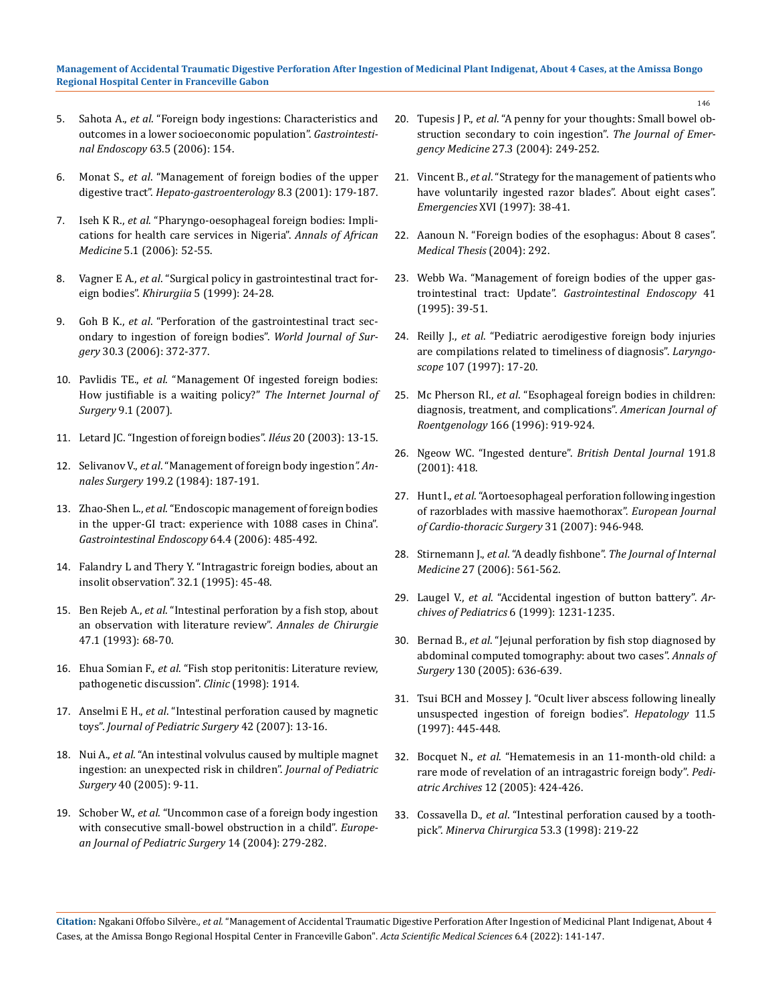#### **Management of Accidental Traumatic Digestive Perforation After Ingestion of Medicinal Plant Indigenat, About 4 Cases, at the Amissa Bongo Regional Hospital Center in Franceville Gabon**

- 5. Sahota A., *et al*[. "Foreign body ingestions: Characteristics and](https://pubmed.ncbi.nlm.nih.gov/19019363/)  [outcomes in a lower socioeconomic population".](https://pubmed.ncbi.nlm.nih.gov/19019363/) *Gastrointestinal Endoscopy* [63.5 \(2006\): 154.](https://pubmed.ncbi.nlm.nih.gov/19019363/)
- 6. Monat S., *et al*. "Management of foreign bodies of the upper digestive tract". *Hepato-gastroenterology* 8.3 (2001): 179-187.
- 7. Iseh K R., *et al*[. "Pharyngo-oesophageal foreign bodies: Impli](https://www.researchgate.net/publication/27788979_Pharyngo-oesophageal_Foreign_Bodies_Implications_for_Health_Care_Services_in_Nigeria)[cations for health care services in Nigeria".](https://www.researchgate.net/publication/27788979_Pharyngo-oesophageal_Foreign_Bodies_Implications_for_Health_Care_Services_in_Nigeria) *Annals of African Medicine* [5.1 \(2006\): 52-55.](https://www.researchgate.net/publication/27788979_Pharyngo-oesophageal_Foreign_Bodies_Implications_for_Health_Care_Services_in_Nigeria)
- 8. Vagner E A., *et al*. "Surgical policy in gastrointestinal tract foreign bodies". *Khirurgiia* 5 (1999): 24-28.
- 9. Goh B K., *et al*[. "Perforation of the gastrointestinal tract sec](https://pubmed.ncbi.nlm.nih.gov/16479337/)[ondary to ingestion of foreign bodies".](https://pubmed.ncbi.nlm.nih.gov/16479337/) *World Journal of Surgery* [30.3 \(2006\): 372-377.](https://pubmed.ncbi.nlm.nih.gov/16479337/)
- 10. Pavlidis TE., *et al*. "Management Of ingested foreign bodies: How justifiable is a waiting policy?" *The Internet Journal of Surgery* 9.1 (2007).
- 11. Letard JC. "Ingestion of foreign bodies". *Iléus* 20 (2003): 13-15.
- 12. Selivanov V., *et al*[. "Management of foreign body ingestion](https://www.ncbi.nlm.nih.gov/pmc/articles/PMC1353331/)*". Annales Surgery* [199.2 \(1984\): 187-191.](https://www.ncbi.nlm.nih.gov/pmc/articles/PMC1353331/)
- 13. Zhao-Shen L., *et al*[. "Endoscopic management of foreign bodies](https://pubmed.ncbi.nlm.nih.gov/16996336/)  [in the upper-GI tract: experience with 1088 cases in China".](https://pubmed.ncbi.nlm.nih.gov/16996336/)  *[Gastrointestinal Endoscopy](https://pubmed.ncbi.nlm.nih.gov/16996336/)* 64.4 (2006): 485-492.
- 14. Falandry L and Thery Y. "Intragastric foreign bodies, about an insolit observation". 32.1 (1995): 45-48.
- 15. Ben Rejeb A., *et al*. "Intestinal perforation by a fish stop, about an observation with literature review". *Annales de Chirurgie* 47.1 (1993): 68-70.
- 16. Ehua Somian F., *et al*. "Fish stop peritonitis: Literature review, pathogenetic discussion". *Clinic* (1998): 1914.
- 17. Anselmi E H., *et al*. "Intestinal perforation caused by magnetic toys". *Journal of Pediatric Surgery* 42 (2007): 13-16.
- 18. Nui A., *et al*[. "An intestinal volvulus caused by multiple magnet](https://pubmed.ncbi.nlm.nih.gov/16150334/)  [ingestion: an unexpected risk in children".](https://pubmed.ncbi.nlm.nih.gov/16150334/) *Journal of Pediatric Surgery* [40 \(2005\): 9-11.](https://pubmed.ncbi.nlm.nih.gov/16150334/)
- 19. Schober W., *et al*[. "Uncommon case of a foreign body ingestion](https://www.semanticscholar.org/paper/Uncommon-case-of-a-foreign-body-ingestion-with-in-a-Sch%C3%B6ber-Erdtmann/211adb5d6daa91437fab82fee4325c4656cd1c9c)  [with consecutive small-bowel obstruction in a child".](https://www.semanticscholar.org/paper/Uncommon-case-of-a-foreign-body-ingestion-with-in-a-Sch%C3%B6ber-Erdtmann/211adb5d6daa91437fab82fee4325c4656cd1c9c) *Europe[an Journal of Pediatric Surgery](https://www.semanticscholar.org/paper/Uncommon-case-of-a-foreign-body-ingestion-with-in-a-Sch%C3%B6ber-Erdtmann/211adb5d6daa91437fab82fee4325c4656cd1c9c)* 14 (2004): 279-282.
- 20. Tupesis J P., *et al*[. "A penny for your thoughts: Small bowel ob](https://read.qxmd.com/read/15388210/a-penny-for-your-thoughts-small-bowel-obstruction-secondary-to-coin-ingestion)[struction secondary to coin ingestion".](https://read.qxmd.com/read/15388210/a-penny-for-your-thoughts-small-bowel-obstruction-secondary-to-coin-ingestion) *The Journal of Emergency Medicine* [27.3 \(2004\): 249-252.](https://read.qxmd.com/read/15388210/a-penny-for-your-thoughts-small-bowel-obstruction-secondary-to-coin-ingestion)
- 21. Vincent B., *et al*. "Strategy for the management of patients who have voluntarily ingested razor blades". About eight cases". *Emergencies* XVI (1997): 38-41.
- 22. Aanoun N. "Foreign bodies of the esophagus: About 8 cases". *Medical Thesis* (2004): 292.
- 23. [Webb Wa. "Management of foreign bodies of the upper gas](https://pubmed.ncbi.nlm.nih.gov/7698623/)trointestinal tract: Update". *[Gastrointestinal Endoscopy](https://pubmed.ncbi.nlm.nih.gov/7698623/)* 41 [\(1995\): 39-51.](https://pubmed.ncbi.nlm.nih.gov/7698623/)
- 24. Reilly J., *et al*[. "Pediatric aerodigestive foreign body injuries](https://pubmed.ncbi.nlm.nih.gov/9001259/)  [are compilations related to timeliness of diagnosis".](https://pubmed.ncbi.nlm.nih.gov/9001259/) *Laryngoscope* [107 \(1997\): 17-20.](https://pubmed.ncbi.nlm.nih.gov/9001259/)
- 25. Mc Pherson RI., *et al*[. "Esophageal foreign bodies in children:](https://pubmed.ncbi.nlm.nih.gov/8610574/)  [diagnosis, treatment, and complications".](https://pubmed.ncbi.nlm.nih.gov/8610574/) *American Journal of Roentgenology* [166 \(1996\): 919-924.](https://pubmed.ncbi.nlm.nih.gov/8610574/)
- 26. Ngeow WC. "Ingested denture". *British Dental Journal* 191.8 (2001): 418.
- 27. Hunt I., *et al*[. "Aortoesophageal perforation following ingestion](https://pubmed.ncbi.nlm.nih.gov/17346984/)  [of razorblades with massive haemothorax".](https://pubmed.ncbi.nlm.nih.gov/17346984/) *European Journal [of Cardio-thoracic Surgery](https://pubmed.ncbi.nlm.nih.gov/17346984/)* 31 (2007): 946-948.
- 28. Stirnemann J., *et al*. "A deadly fishbone". *The Journal of Internal Medicine* 27 (2006): 561-562.
- 29. Laugel V., *et al*. "Accidental ingestion of button battery". *Archives of Pediatrics* 6 (1999): 1231-1235.
- 30. Bernad B., *et al*. "Jejunal perforation by fish stop diagnosed by abdominal computed tomography: about two cases". *Annals of Surgery* 130 (2005): 636-639.
- 31. [Tsui BCH and Mossey J. "Ocult liver abscess following lineally](https://www.hindawi.com/journals/cjgh/1997/815876/)  [unsuspected ingestion of foreign bodies".](https://www.hindawi.com/journals/cjgh/1997/815876/) *Hepatology* 11.5 [\(1997\): 445-448.](https://www.hindawi.com/journals/cjgh/1997/815876/)
- 32. Bocquet N., *et al*. "Hematemesis in an 11-month-old child: a rare mode of revelation of an intragastric foreign body". *Pediatric Archives* 12 (2005): 424-426.
- 33. Cossavella D., *et al*. "Intestinal perforation caused by a toothpick". *Minerva Chirurgica* 53.3 (1998): 219-22

**Citation:** Ngakani Offobo Silvère*., et al.* "Management of Accidental Traumatic Digestive Perforation After Ingestion of Medicinal Plant Indigenat, About 4 Cases, at the Amissa Bongo Regional Hospital Center in Franceville Gabon". *Acta Scientific Medical Sciences* 6.4 (2022): 141-147.